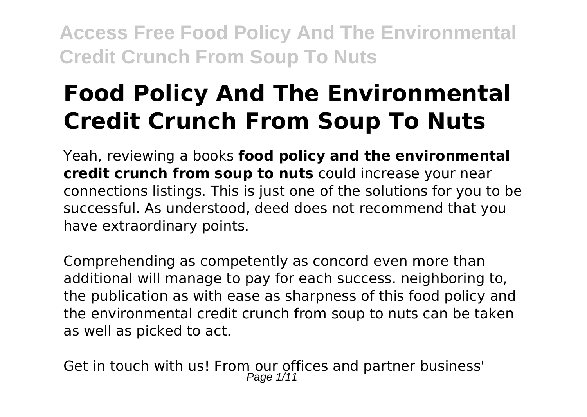# **Food Policy And The Environmental Credit Crunch From Soup To Nuts**

Yeah, reviewing a books **food policy and the environmental credit crunch from soup to nuts** could increase your near connections listings. This is just one of the solutions for you to be successful. As understood, deed does not recommend that you have extraordinary points.

Comprehending as competently as concord even more than additional will manage to pay for each success. neighboring to, the publication as with ease as sharpness of this food policy and the environmental credit crunch from soup to nuts can be taken as well as picked to act.

Get in touch with us! From our offices and partner business'<br>Page  $1/11$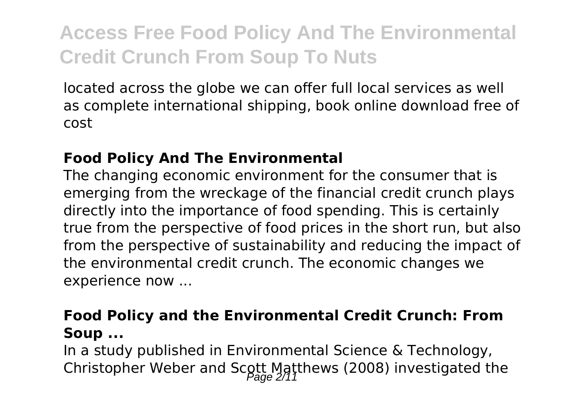located across the globe we can offer full local services as well as complete international shipping, book online download free of cost

### **Food Policy And The Environmental**

The changing economic environment for the consumer that is emerging from the wreckage of the financial credit crunch plays directly into the importance of food spending. This is certainly true from the perspective of food prices in the short run, but also from the perspective of sustainability and reducing the impact of the environmental credit crunch. The economic changes we experience now ...

### **Food Policy and the Environmental Credit Crunch: From Soup ...**

In a study published in Environmental Science & Technology, Christopher Weber and Scott Matthews (2008) investigated the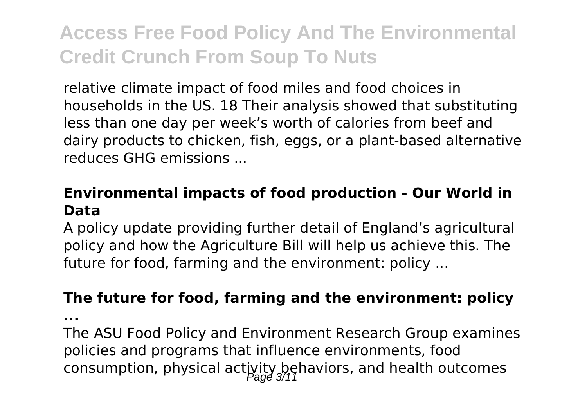relative climate impact of food miles and food choices in households in the US. 18 Their analysis showed that substituting less than one day per week's worth of calories from beef and dairy products to chicken, fish, eggs, or a plant-based alternative reduces GHG emissions ...

#### **Environmental impacts of food production - Our World in Data**

A policy update providing further detail of England's agricultural policy and how the Agriculture Bill will help us achieve this. The future for food, farming and the environment: policy ...

#### **The future for food, farming and the environment: policy**

**...**

The ASU Food Policy and Environment Research Group examines policies and programs that influence environments, food consumption, physical activity behaviors, and health outcomes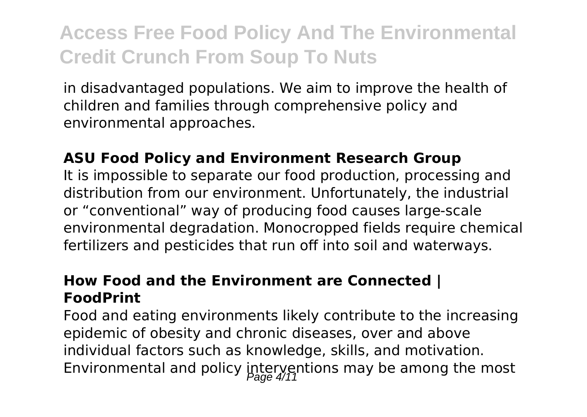in disadvantaged populations. We aim to improve the health of children and families through comprehensive policy and environmental approaches.

#### **ASU Food Policy and Environment Research Group**

It is impossible to separate our food production, processing and distribution from our environment. Unfortunately, the industrial or "conventional" way of producing food causes large-scale environmental degradation. Monocropped fields require chemical fertilizers and pesticides that run off into soil and waterways.

### **How Food and the Environment are Connected | FoodPrint**

Food and eating environments likely contribute to the increasing epidemic of obesity and chronic diseases, over and above individual factors such as knowledge, skills, and motivation. Environmental and policy interventions may be among the most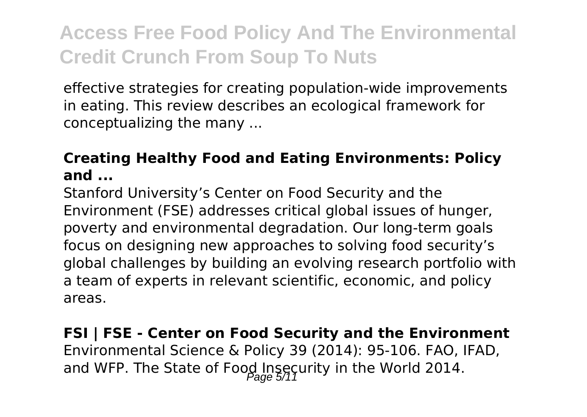effective strategies for creating population-wide improvements in eating. This review describes an ecological framework for conceptualizing the many ...

### **Creating Healthy Food and Eating Environments: Policy and ...**

Stanford University's Center on Food Security and the Environment (FSE) addresses critical global issues of hunger, poverty and environmental degradation. Our long-term goals focus on designing new approaches to solving food security's global challenges by building an evolving research portfolio with a team of experts in relevant scientific, economic, and policy areas.

## **FSI | FSE - Center on Food Security and the Environment** Environmental Science & Policy 39 (2014): 95-106. FAO, IFAD, and WFP. The State of Food Insecurity in the World 2014.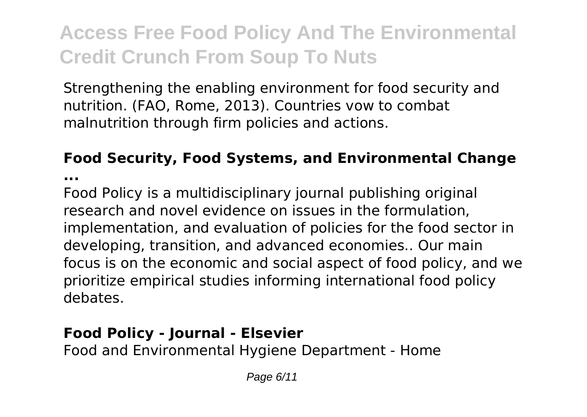Strengthening the enabling environment for food security and nutrition. (FAO, Rome, 2013). Countries vow to combat malnutrition through firm policies and actions.

### **Food Security, Food Systems, and Environmental Change**

**...**

Food Policy is a multidisciplinary journal publishing original research and novel evidence on issues in the formulation, implementation, and evaluation of policies for the food sector in developing, transition, and advanced economies.. Our main focus is on the economic and social aspect of food policy, and we prioritize empirical studies informing international food policy debates.

## **Food Policy - Journal - Elsevier**

Food and Environmental Hygiene Department - Home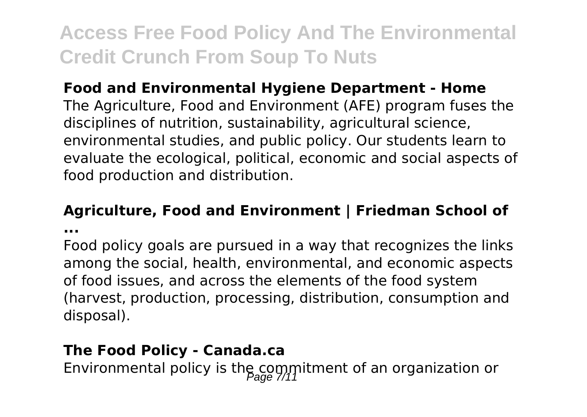### **Food and Environmental Hygiene Department - Home**

The Agriculture, Food and Environment (AFE) program fuses the disciplines of nutrition, sustainability, agricultural science, environmental studies, and public policy. Our students learn to evaluate the ecological, political, economic and social aspects of food production and distribution.

#### **Agriculture, Food and Environment | Friedman School of**

**...**

Food policy goals are pursued in a way that recognizes the links among the social, health, environmental, and economic aspects of food issues, and across the elements of the food system (harvest, production, processing, distribution, consumption and disposal).

#### **The Food Policy - Canada.ca**

Environmental policy is the commitment of an organization or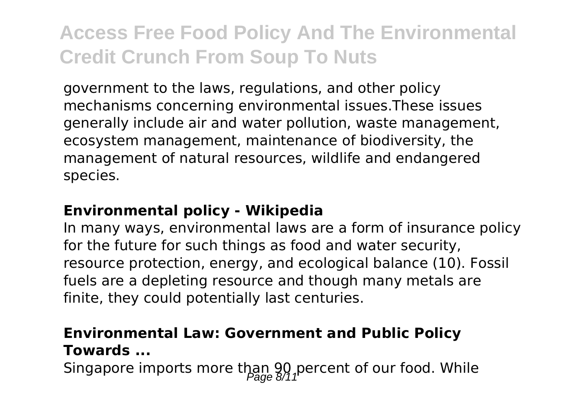government to the laws, regulations, and other policy mechanisms concerning environmental issues.These issues generally include air and water pollution, waste management, ecosystem management, maintenance of biodiversity, the management of natural resources, wildlife and endangered species.

### **Environmental policy - Wikipedia**

In many ways, environmental laws are a form of insurance policy for the future for such things as food and water security, resource protection, energy, and ecological balance (10). Fossil fuels are a depleting resource and though many metals are finite, they could potentially last centuries.

### **Environmental Law: Government and Public Policy Towards ...**

Singapore imports more than 90 percent of our food. While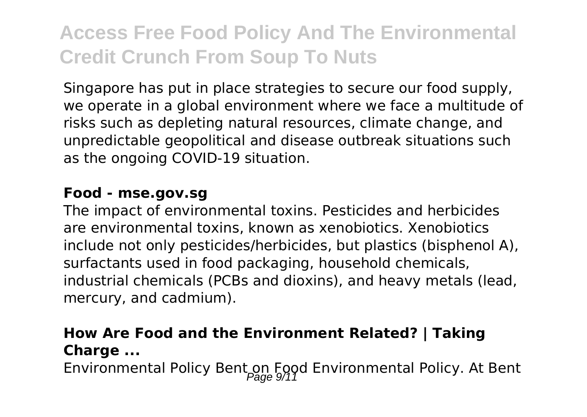Singapore has put in place strategies to secure our food supply, we operate in a global environment where we face a multitude of risks such as depleting natural resources, climate change, and unpredictable geopolitical and disease outbreak situations such as the ongoing COVID-19 situation.

#### **Food - mse.gov.sg**

The impact of environmental toxins. Pesticides and herbicides are environmental toxins, known as xenobiotics. Xenobiotics include not only pesticides/herbicides, but plastics (bisphenol A), surfactants used in food packaging, household chemicals, industrial chemicals (PCBs and dioxins), and heavy metals (lead, mercury, and cadmium).

## **How Are Food and the Environment Related? | Taking Charge ...**

Environmental Policy Bent on Food Environmental Policy. At Bent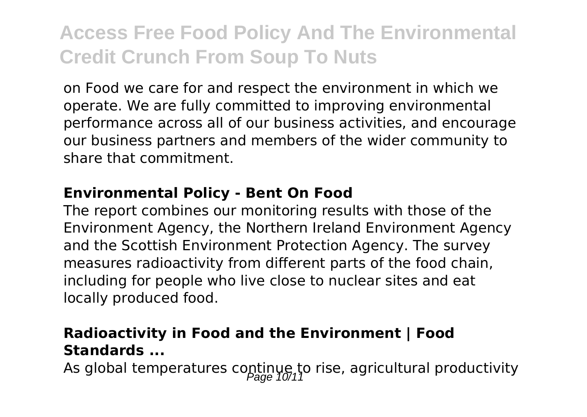on Food we care for and respect the environment in which we operate. We are fully committed to improving environmental performance across all of our business activities, and encourage our business partners and members of the wider community to share that commitment.

#### **Environmental Policy - Bent On Food**

The report combines our monitoring results with those of the Environment Agency, the Northern Ireland Environment Agency and the Scottish Environment Protection Agency. The survey measures radioactivity from different parts of the food chain, including for people who live close to nuclear sites and eat locally produced food.

### **Radioactivity in Food and the Environment | Food Standards ...**

As global temperatures continue to rise, agricultural productivity